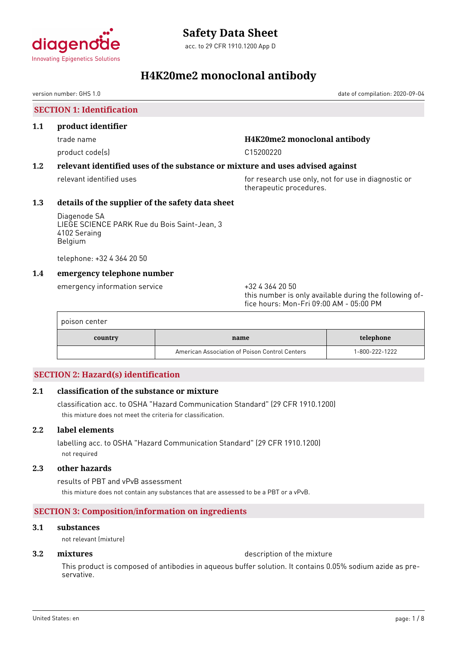

acc. to 29 CFR 1910.1200 App D

# **H4K20me2 monoclonal antibody**

version number: GHS 1.0 date of compilation: 2020-09-04

**SECTION 1: Identification**

### **1.1 product identifier**

product code(s) and controlled the control of the C15200220 control of the C15200220

# trade name **H4K20me2 monoclonal antibody**

# **1.2 relevant identified uses of the substance or mixture and uses advised against**

relevant identified uses **for research use only, not for use in diagnostic or** therapeutic procedures.

# **1.3 details of the supplier of the safety data sheet**

Diagenode SA LIEGE SCIENCE PARK Rue du Bois Saint-Jean, 3 4102 Seraing Belgium

telephone: +32 4 364 20 50

# **1.4 emergency telephone number**

emergency information service +32 4 364 20 50

this number is only available during the following office hours: Mon-Fri 09:00 AM - 05:00 PM

| poison center |                                                |                |
|---------------|------------------------------------------------|----------------|
| country       | name                                           | telephone      |
|               | American Association of Poison Control Centers | 1-800-222-1222 |

# **SECTION 2: Hazard(s) identification**

# **2.1 classification of the substance or mixture**

classification acc. to OSHA "Hazard Communication Standard" (29 CFR 1910.1200) this mixture does not meet the criteria for classification.

# **2.2 label elements**

labelling acc. to OSHA "Hazard Communication Standard" (29 CFR 1910.1200) not required

# **2.3 other hazards**

results of PBT and vPvB assessment this mixture does not contain any substances that are assessed to be a PBT or a vPvB.

# **SECTION 3: Composition/information on ingredients**

### **3.1 substances**

not relevant (mixture)

**3.2 <b>mixtures** description of the mixture

This product is composed of antibodies in aqueous buffer solution. It contains 0.05% sodium azide as preservative.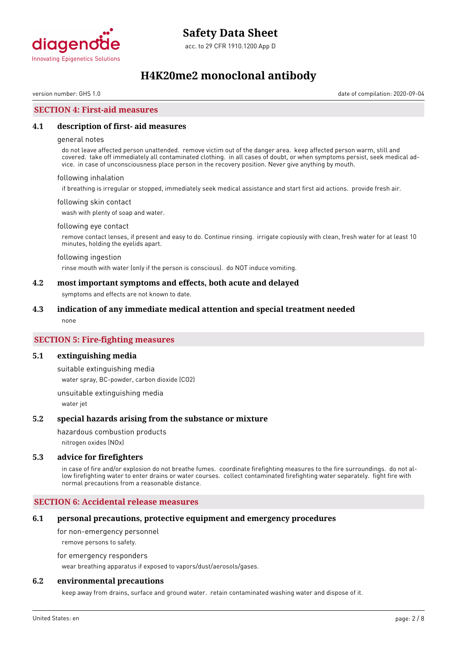

# **H4K20me2 monoclonal antibody**

version number: GHS 1.0 date of compilation: 2020-09-04

# **SECTION 4: First-aid measures**

### **4.1 description of first- aid measures**

#### general notes

do not leave affected person unattended. remove victim out of the danger area. keep affected person warm, still and covered. take off immediately all contaminated clothing. in all cases of doubt, or when symptoms persist, seek medical advice. in case of unconsciousness place person in the recovery position. Never give anything by mouth.

#### following inhalation

if breathing is irregular or stopped, immediately seek medical assistance and start first aid actions. provide fresh air.

#### following skin contact

wash with plenty of soap and water.

#### following eye contact

remove contact lenses, if present and easy to do. Continue rinsing. irrigate copiously with clean, fresh water for at least 10 minutes, holding the eyelids apart.

#### following ingestion

rinse mouth with water (only if the person is conscious). do NOT induce vomiting.

#### **4.2 most important symptoms and effects, both acute and delayed**

symptoms and effects are not known to date.

#### **4.3 indication of any immediate medical attention and special treatment needed**

none

### **SECTION 5: Fire-fighting measures**

#### **5.1 extinguishing media**

suitable extinguishing media water spray, BC-powder, carbon dioxide (CO2)

unsuitable extinguishing media water jet

#### **5.2 special hazards arising from the substance or mixture**

hazardous combustion products

nitrogen oxides (NOx)

#### **5.3 advice for firefighters**

in case of fire and/or explosion do not breathe fumes. coordinate firefighting measures to the fire surroundings. do not allow firefighting water to enter drains or water courses. collect contaminated firefighting water separately. fight fire with normal precautions from a reasonable distance.

### **SECTION 6: Accidental release measures**

#### **6.1 personal precautions, protective equipment and emergency procedures**

for non-emergency personnel

remove persons to safety.

for emergency responders

wear breathing apparatus if exposed to vapors/dust/aerosols/gases.

### **6.2 environmental precautions**

keep away from drains, surface and ground water. retain contaminated washing water and dispose of it.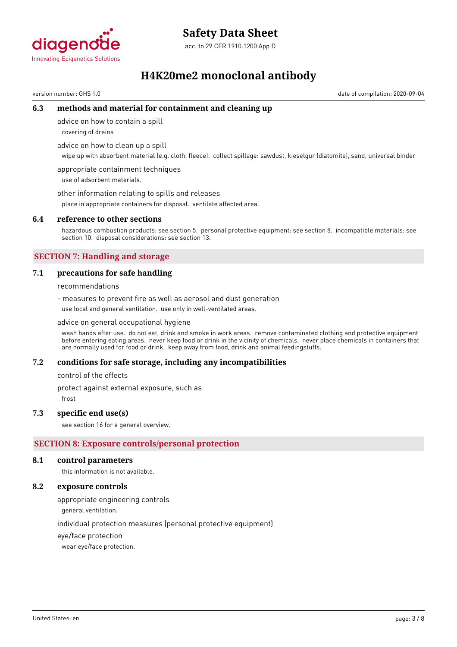

# **Safety Data Sheet**

acc. to 29 CFR 1910.1200 App D

# **H4K20me2 monoclonal antibody**

version number: GHS 1.0 date of compilation: 2020-09-04

# **6.3 methods and material for containment and cleaning up**

advice on how to contain a spill

covering of drains

advice on how to clean up a spill

wipe up with absorbent material (e.g. cloth, fleece). collect spillage: sawdust, kieselgur (diatomite), sand, universal binder

appropriate containment techniques use of adsorbent materials.

other information relating to spills and releases

place in appropriate containers for disposal. ventilate affected area.

### **6.4 reference to other sections**

hazardous combustion products: see section 5. personal protective equipment: see section 8. incompatible materials: see section 10. disposal considerations: see section 13.

# **SECTION 7: Handling and storage**

### **7.1 precautions for safe handling**

recommendations

- measures to prevent fire as well as aerosol and dust generation use local and general ventilation. use only in well-ventilated areas.

advice on general occupational hygiene

wash hands after use. do not eat, drink and smoke in work areas. remove contaminated clothing and protective equipment before entering eating areas. never keep food or drink in the vicinity of chemicals. never place chemicals in containers that are normally used for food or drink. keep away from food, drink and animal feedingstuffs.

#### **7.2 conditions for safe storage, including any incompatibilities**

control of the effects

protect against external exposure, such as

frost

#### **7.3 specific end use(s)**

see section 16 for a general overview.

# **SECTION 8: Exposure controls/personal protection**

#### **8.1 control parameters**

this information is not available.

### **8.2 exposure controls**

appropriate engineering controls

general ventilation.

individual protection measures (personal protective equipment)

eye/face protection

wear eye/face protection.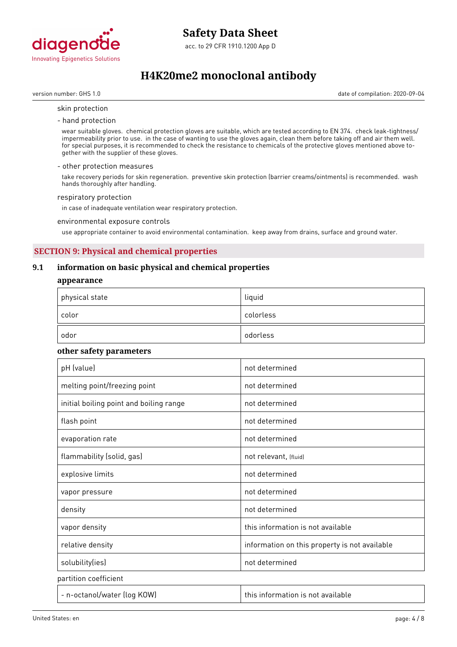

acc. to 29 CFR 1910.1200 App D

# **H4K20me2 monoclonal antibody**

version number: GHS 1.0 date of compilation: 2020-09-04

#### skin protection

- hand protection

wear suitable gloves. chemical protection gloves are suitable, which are tested according to EN 374. check leak-tightness/ impermeability prior to use. in the case of wanting to use the gloves again, clean them before taking off and air them well. for special purposes, it is recommended to check the resistance to chemicals of the protective gloves mentioned above together with the supplier of these gloves.

#### - other protection measures

take recovery periods for skin regeneration. preventive skin protection (barrier creams/ointments) is recommended. wash hands thoroughly after handling.

#### respiratory protection

in case of inadequate ventilation wear respiratory protection.

environmental exposure controls

use appropriate container to avoid environmental contamination. keep away from drains, surface and ground water.

# **SECTION 9: Physical and chemical properties**

# **9.1 information on basic physical and chemical properties**

#### **appearance**

| $^\mathrm{+}$ physical state | liquid    |
|------------------------------|-----------|
| color                        | colorless |
| odor                         | odorless  |

#### **other safety parameters**

| pH (value)                              | not determined                                |
|-----------------------------------------|-----------------------------------------------|
| melting point/freezing point            | not determined                                |
| initial boiling point and boiling range | not determined                                |
| flash point                             | not determined                                |
| evaporation rate                        | not determined                                |
| flammability (solid, gas)               | not relevant, (fluid)                         |
| explosive limits                        | not determined                                |
| vapor pressure                          | not determined                                |
| density                                 | not determined                                |
| vapor density                           | this information is not available             |
| relative density                        | information on this property is not available |
| solubility(ies)                         | not determined                                |
| partition coefficient                   |                                               |
| - n-octanol/water (log KOW)             | this information is not available             |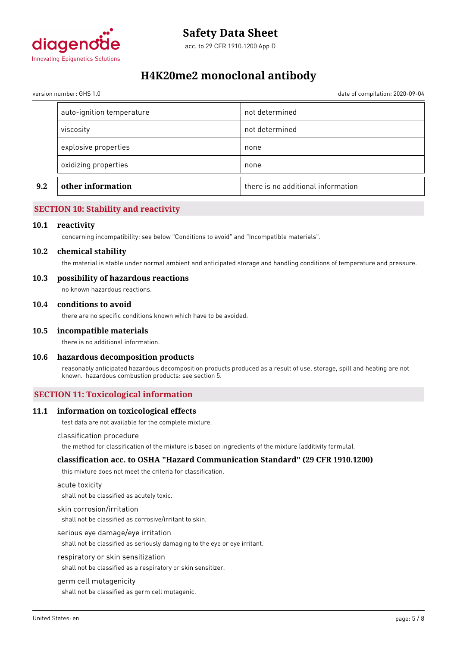

# **H4K20me2 monoclonal antibody**

version number: GHS 1.0 date of compilation: 2020-09-04

| not determined<br>viscosity<br>explosive properties<br>none<br>oxidizing properties<br>none | 9.2 | other information | there is no additional information |
|---------------------------------------------------------------------------------------------|-----|-------------------|------------------------------------|
|                                                                                             |     |                   |                                    |
|                                                                                             |     |                   |                                    |
|                                                                                             |     |                   |                                    |
| auto-ignition temperature<br>not determined                                                 |     |                   |                                    |

# **SECTION 10: Stability and reactivity**

#### **10.1 reactivity**

concerning incompatibility: see below "Conditions to avoid" and "Incompatible materials".

#### **10.2 chemical stability**

the material is stable under normal ambient and anticipated storage and handling conditions of temperature and pressure.

#### **10.3 possibility of hazardous reactions**

no known hazardous reactions.

#### **10.4 conditions to avoid**

there are no specific conditions known which have to be avoided.

#### **10.5 incompatible materials**

there is no additional information.

#### **10.6 hazardous decomposition products**

reasonably anticipated hazardous decomposition products produced as a result of use, storage, spill and heating are not known. hazardous combustion products: see section 5.

### **SECTION 11: Toxicological information**

#### **11.1 information on toxicological effects**

test data are not available for the complete mixture.

#### classification procedure

the method for classification of the mixture is based on ingredients of the mixture (additivity formula).

#### **classification acc. to OSHA "Hazard Communication Standard" (29 CFR 1910.1200)**

this mixture does not meet the criteria for classification.

#### acute toxicity

shall not be classified as acutely toxic.

#### skin corrosion/irritation

shall not be classified as corrosive/irritant to skin.

#### serious eye damage/eye irritation

shall not be classified as seriously damaging to the eye or eye irritant.

#### respiratory or skin sensitization

shall not be classified as a respiratory or skin sensitizer.

#### germ cell mutagenicity

shall not be classified as germ cell mutagenic.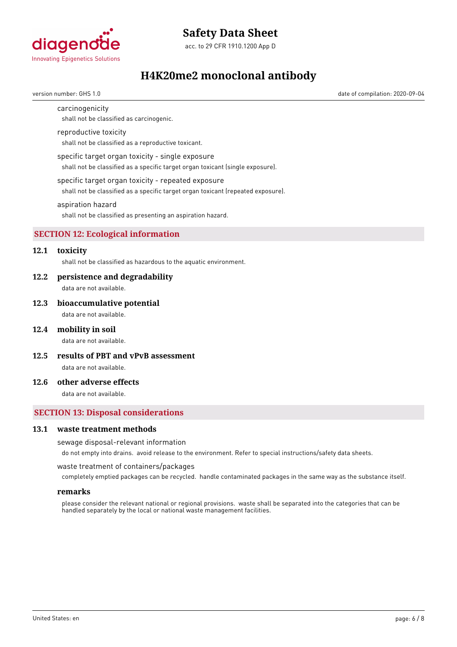

# **Safety Data Sheet**

acc. to 29 CFR 1910.1200 App D

# **H4K20me2 monoclonal antibody**

version number: GHS 1.0 date of compilation: 2020-09-04

# carcinogenicity

shall not be classified as carcinogenic.

#### reproductive toxicity

shall not be classified as a reproductive toxicant.

#### specific target organ toxicity - single exposure

shall not be classified as a specific target organ toxicant (single exposure).

#### specific target organ toxicity - repeated exposure

shall not be classified as a specific target organ toxicant (repeated exposure).

#### aspiration hazard

shall not be classified as presenting an aspiration hazard.

# **SECTION 12: Ecological information**

# **12.1 toxicity**

shall not be classified as hazardous to the aquatic environment.

#### **12.2 persistence and degradability**

data are not available.

#### **12.3 bioaccumulative potential**

data are not available.

#### **12.4 mobility in soil**

data are not available.

**12.5 results of PBT and vPvB assessment**

data are not available.

# **12.6 other adverse effects**

data are not available.

# **SECTION 13: Disposal considerations**

#### **13.1 waste treatment methods**

#### sewage disposal-relevant information

do not empty into drains. avoid release to the environment. Refer to special instructions/safety data sheets.

waste treatment of containers/packages

completely emptied packages can be recycled. handle contaminated packages in the same way as the substance itself.

#### **remarks**

please consider the relevant national or regional provisions. waste shall be separated into the categories that can be handled separately by the local or national waste management facilities.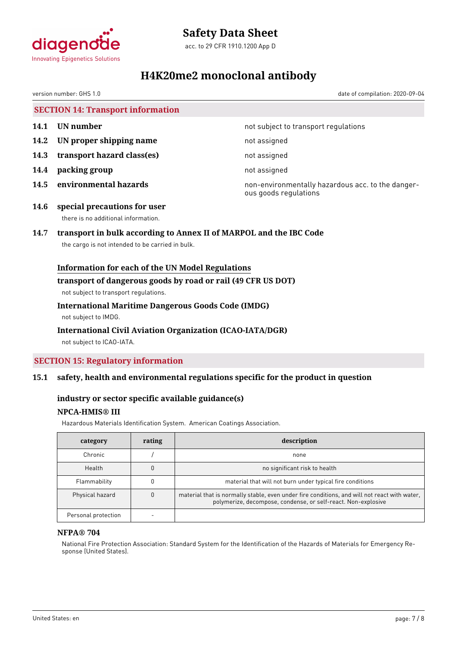

# **Safety Data Sheet**

acc. to 29 CFR 1910.1200 App D

# **H4K20me2 monoclonal antibody**

version number: GHS 1.0 date of compilation: 2020-09-04

# **SECTION 14: Transport information**

- 
- **14.2 UN proper shipping name** not assigned
- **14.3 transport hazard class(es)** not assigned
- **14.4 packing group** not assigned
- 

**14.1 UN number 14.1 15.1 14.1 UN number not subject to transport regulations** 

**14.5 environmental hazards non-environmentally hazardous acc. to the danger**ous goods regulations

**14.6 special precautions for user** there is no additional information.

# **14.7 transport in bulk according to Annex II of MARPOL and the IBC Code**

the cargo is not intended to be carried in bulk.

# **Information for each of the UN Model Regulations**

# **transport of dangerous goods by road or rail (49 CFR US DOT)**

not subject to transport regulations.

# **International Maritime Dangerous Goods Code (IMDG)**

not subject to IMDG.

# **International Civil Aviation Organization (ICAO-IATA/DGR)**

not subject to ICAO-IATA.

# **SECTION 15: Regulatory information**

# **15.1 safety, health and environmental regulations specific for the product in question**

# **industry or sector specific available guidance(s)**

# **NPCA-HMIS® III**

Hazardous Materials Identification System. American Coatings Association.

| category            | rating | description                                                                                                                                                   |
|---------------------|--------|---------------------------------------------------------------------------------------------------------------------------------------------------------------|
| Chronic             |        | none                                                                                                                                                          |
| Health              |        | no significant risk to health                                                                                                                                 |
| Flammability        |        | material that will not burn under typical fire conditions                                                                                                     |
| Physical hazard     |        | material that is normally stable, even under fire conditions, and will not react with water,<br>polymerize, decompose, condense, or self-react. Non-explosive |
| Personal protection |        |                                                                                                                                                               |

# **NFPA® 704**

National Fire Protection Association: Standard System for the Identification of the Hazards of Materials for Emergency Response (United States).